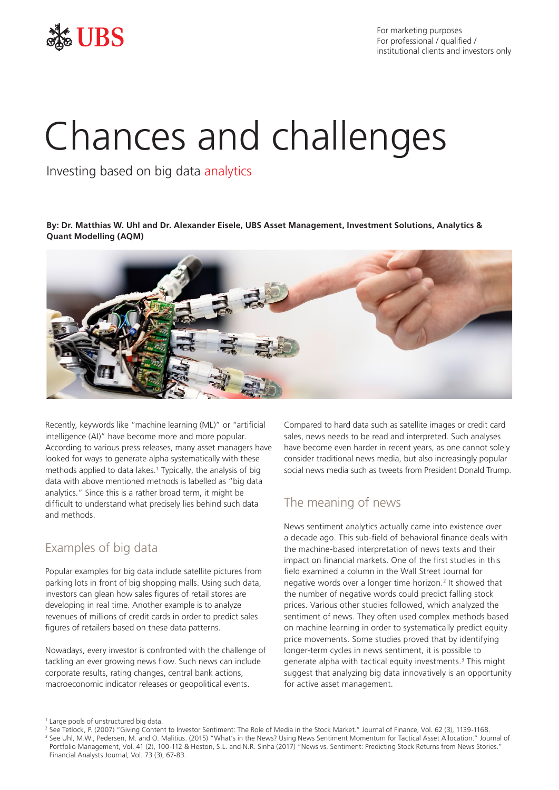

For marketing purposes For professional / qualified / institutional clients and investors only

# Chances and challenges

Investing based on big data analytics

**By: Dr. Matthias W. Uhl and Dr. Alexander Eisele, UBS Asset Management, Investment Solutions, Analytics & Quant Modelling (AQM)**



Recently, keywords like "machine learning (ML)" or "artificial intelligence (AI)" have become more and more popular. According to various press releases, many asset managers have looked for ways to generate alpha systematically with these methods applied to data lakes.<sup>1</sup> Typically, the analysis of big data with above mentioned methods is labelled as "big data analytics." Since this is a rather broad term, it might be difficult to understand what precisely lies behind such data and methods.

# Examples of big data

Popular examples for big data include satellite pictures from parking lots in front of big shopping malls. Using such data, investors can glean how sales figures of retail stores are developing in real time. Another example is to analyze revenues of millions of credit cards in order to predict sales figures of retailers based on these data patterns.

Nowadays, every investor is confronted with the challenge of tackling an ever growing news flow. Such news can include corporate results, rating changes, central bank actions, macroeconomic indicator releases or geopolitical events.

Compared to hard data such as satellite images or credit card sales, news needs to be read and interpreted. Such analyses have become even harder in recent years, as one cannot solely consider traditional news media, but also increasingly popular social news media such as tweets from President Donald Trump.

# The meaning of news

News sentiment analytics actually came into existence over a decade ago. This sub-field of behavioral finance deals with the machine-based interpretation of news texts and their impact on financial markets. One of the first studies in this field examined a column in the Wall Street Journal for negative words over a longer time horizon.<sup>2</sup> It showed that the number of negative words could predict falling stock prices. Various other studies followed, which analyzed the sentiment of news. They often used complex methods based on machine learning in order to systematically predict equity price movements. Some studies proved that by identifying longer-term cycles in news sentiment, it is possible to generate alpha with tactical equity investments.<sup>3</sup> This might suggest that analyzing big data innovatively is an opportunity for active asset management.

<sup>1</sup> Large pools of unstructured big data.

<sup>2</sup> See Tetlock, P. (2007) "Giving Content to Investor Sentiment: The Role of Media in the Stock Market." Journal of Finance, Vol. 62 (3), 1139-1168. <sup>3</sup> See Uhl, M.W., Pedersen, M. and O. Malitius. (2015) "What's in the News? Using News Sentiment Momentum for Tactical Asset Allocation." Journal of Portfolio Management, Vol. 41 (2), 100-112 & Heston, S.L. and N.R. Sinha (2017) "News vs. Sentiment: Predicting Stock Returns from News Stories." Financial Analysts Journal, Vol. 73 (3), 67-83.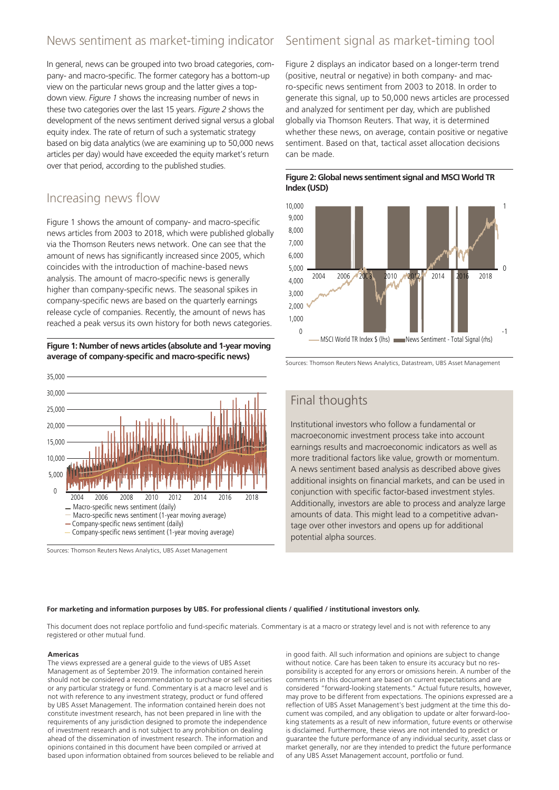# News sentiment as market-timing indicator

In general, news can be grouped into two broad categories, company- and macro-specific. The former category has a bottom-up view on the particular news group and the latter gives a topdown view. *Figure 1* shows the increasing number of news in these two categories over the last 15 years. *Figure 2* shows the development of the news sentiment derived signal versus a global equity index. The rate of return of such a systematic strategy based on big data analytics (we are examining up to 50,000 news articles per day) would have exceeded the equity market's return over that period, according to the published studies.

# Increasing news flow

Figure 1 shows the amount of company- and macro-specific news articles from 2003 to 2018, which were published globally via the Thomson Reuters news network. One can see that the amount of news has significantly increased since 2005, which coincides with the introduction of machine-based news analysis. The amount of macro-specific news is generally higher than company-specific news. The seasonal spikes in company-specific news are based on the quarterly earnings release cycle of companies. Recently, the amount of news has reached a peak versus its own history for both news categories.

**Figure 1: Number of news articles (absolute and 1-year moving average of company-specific and macro-specific news)**



Sources: Thomson Reuters News Analytics, UBS Asset Management

# Sentiment signal as market-timing tool

Figure 2 displays an indicator based on a longer-term trend (positive, neutral or negative) in both company- and macro-specific news sentiment from 2003 to 2018. In order to generate this signal, up to 50,000 news articles are processed and analyzed for sentiment per day, which are published globally via Thomson Reuters. That way, it is determined whether these news, on average, contain positive or negative sentiment. Based on that, tactical asset allocation decisions can be made.





Sources: Thomson Reuters News Analytics, Datastream, UBS Asset Management

## Final thoughts

Institutional investors who follow a fundamental or macroeconomic investment process take into account earnings results and macroeconomic indicators as well as more traditional factors like value, growth or momentum. A news sentiment based analysis as described above gives additional insights on financial markets, and can be used in conjunction with specific factor-based investment styles. Additionally, investors are able to process and analyze large amounts of data. This might lead to a competitive advantage over other investors and opens up for additional potential alpha sources.

## **For marketing and information purposes by UBS. For professional clients / qualified / institutional investors only.**

This document does not replace portfolio and fund-specific materials. Commentary is at a macro or strategy level and is not with reference to any registered or other mutual fund.

## **Americas**

The views expressed are a general guide to the views of UBS Asset Management as of September 2019. The information contained herein should not be considered a recommendation to purchase or sell securities or any particular strategy or fund. Commentary is at a macro level and is not with reference to any investment strategy, product or fund offered by UBS Asset Management. The information contained herein does not constitute investment research, has not been prepared in line with the requirements of any jurisdiction designed to promote the independence of investment research and is not subject to any prohibition on dealing ahead of the dissemination of investment research. The information and opinions contained in this document have been compiled or arrived at based upon information obtained from sources believed to be reliable and in good faith. All such information and opinions are subject to change without notice. Care has been taken to ensure its accuracy but no responsibility is accepted for any errors or omissions herein. A number of the comments in this document are based on current expectations and are considered "forward-looking statements." Actual future results, however, may prove to be different from expectations. The opinions expressed are a reflection of UBS Asset Management's best judgment at the time this document was compiled, and any obligation to update or alter forward-looking statements as a result of new information, future events or otherwise is disclaimed. Furthermore, these views are not intended to predict or guarantee the future performance of any individual security, asset class or market generally, nor are they intended to predict the future performance of any UBS Asset Management account, portfolio or fund.